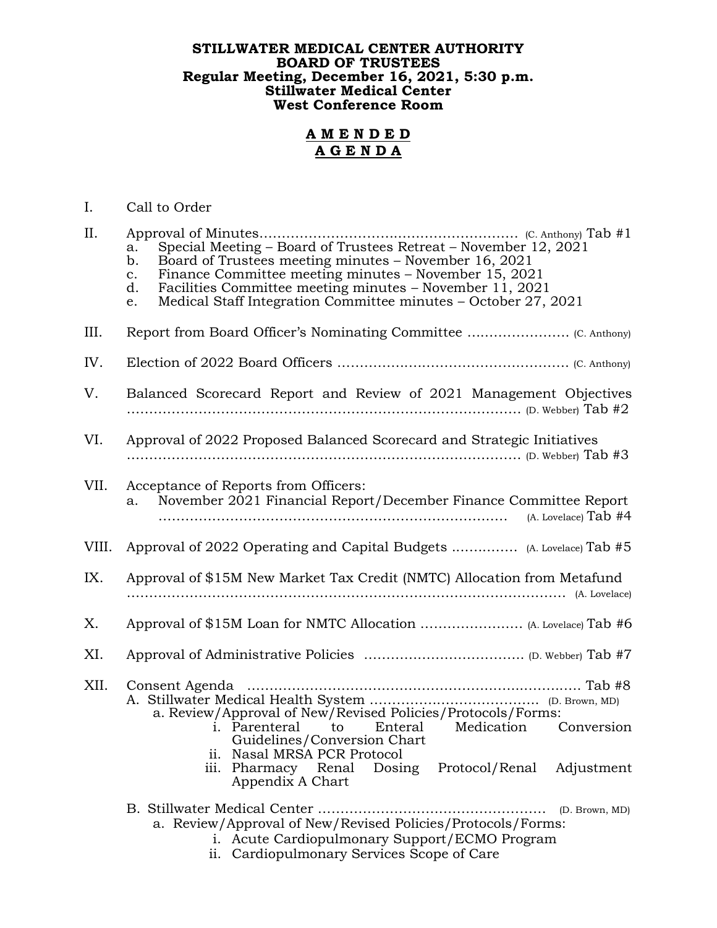## **STILLWATER MEDICAL CENTER AUTHORITY BOARD OF TRUSTEES Regular Meeting, December 16, 2021, 5:30 p.m. Stillwater Medical Center West Conference Room**

## **A M E N D E D A G E N D A**

## I. Call to Order

| II.   | Special Meeting – Board of Trustees Retreat – November 12, 2021<br>a.<br>Board of Trustees meeting minutes - November 16, 2021<br>b.<br>Finance Committee meeting minutes – November 15, 2021<br>$\mathbf{c}$ .<br>Facilities Committee meeting minutes - November 11, 2021<br>d.<br>Medical Staff Integration Committee minutes - October 27, 2021<br>e. |
|-------|-----------------------------------------------------------------------------------------------------------------------------------------------------------------------------------------------------------------------------------------------------------------------------------------------------------------------------------------------------------|
| III.  |                                                                                                                                                                                                                                                                                                                                                           |
| IV.   |                                                                                                                                                                                                                                                                                                                                                           |
| V.    | Balanced Scorecard Report and Review of 2021 Management Objectives                                                                                                                                                                                                                                                                                        |
| VI.   | Approval of 2022 Proposed Balanced Scorecard and Strategic Initiatives                                                                                                                                                                                                                                                                                    |
| VII.  | Acceptance of Reports from Officers:<br>November 2021 Financial Report/December Finance Committee Report<br>a.<br>$(A. Lovelace)$ Tab #4                                                                                                                                                                                                                  |
| VIII. |                                                                                                                                                                                                                                                                                                                                                           |
| IX.   | Approval of \$15M New Market Tax Credit (NMTC) Allocation from Metafund                                                                                                                                                                                                                                                                                   |
| Χ.    |                                                                                                                                                                                                                                                                                                                                                           |
| XI.   |                                                                                                                                                                                                                                                                                                                                                           |
| XII.  | a. Review/Approval of New/Revised Policies/Protocols/Forms:<br>i. Parenteral to Enteral<br>Medication Conversion<br>Guidelines/Conversion Chart<br>ii. Nasal MRSA PCR Protocol<br>iii. Pharmacy Renal Dosing Protocol/Renal Adjustment<br>Appendix A Chart                                                                                                |
|       | B. Stillwater Medical Center<br>(D. Brown, MD)<br>a. Review/Approval of New/Revised Policies/Protocols/Forms:<br>i. Acute Cardiopulmonary Support/ECMO Program<br>Cardiopulmonary Services Scope of Care<br>ii.                                                                                                                                           |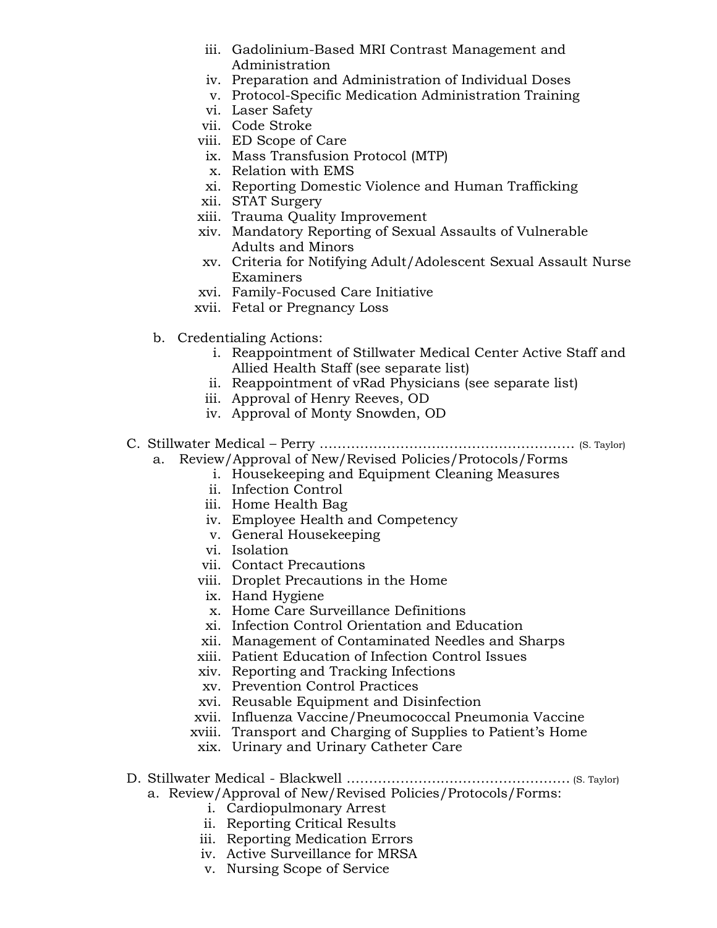- iii. Gadolinium-Based MRI Contrast Management and Administration
- iv. Preparation and Administration of Individual Doses
- v. Protocol-Specific Medication Administration Training
- vi. Laser Safety
- vii. Code Stroke
- viii. ED Scope of Care
- ix. Mass Transfusion Protocol (MTP)
- x. Relation with EMS
- xi. Reporting Domestic Violence and Human Trafficking
- xii. STAT Surgery
- xiii. Trauma Quality Improvement
- xiv. Mandatory Reporting of Sexual Assaults of Vulnerable Adults and Minors
- xv. Criteria for Notifying Adult/Adolescent Sexual Assault Nurse Examiners
- xvi. Family-Focused Care Initiative
- xvii. Fetal or Pregnancy Loss
- b. Credentialing Actions:
	- i. Reappointment of Stillwater Medical Center Active Staff and Allied Health Staff (see separate list)
	- ii. Reappointment of vRad Physicians (see separate list)
	- iii. Approval of Henry Reeves, OD
	- iv. Approval of Monty Snowden, OD
- C. Stillwater Medical Perry ………………………………………………… (S. Taylor) a. Review/Approval of New/Revised Policies/Protocols/Forms
	- i. Housekeeping and Equipment Cleaning Measures
	- ii. Infection Control
	- iii. Home Health Bag
	- iv. Employee Health and Competency
	- v. General Housekeeping
	- vi. Isolation
	- vii. Contact Precautions
	- viii. Droplet Precautions in the Home
	- ix. Hand Hygiene
	- x. Home Care Surveillance Definitions
	- xi. Infection Control Orientation and Education
	- xii. Management of Contaminated Needles and Sharps
	- xiii. Patient Education of Infection Control Issues
	- xiv. Reporting and Tracking Infections
	- xv. Prevention Control Practices
	- xvi. Reusable Equipment and Disinfection
	- xvii. Influenza Vaccine/Pneumococcal Pneumonia Vaccine
	- xviii. Transport and Charging of Supplies to Patient's Home
	- xix. Urinary and Urinary Catheter Care
- D. Stillwater Medical Blackwell …………………….……………….…… (S. Taylor)
	- a. Review/Approval of New/Revised Policies/Protocols/Forms:
		- i. Cardiopulmonary Arrest
		- ii. Reporting Critical Results
		- iii. Reporting Medication Errors
		- iv. Active Surveillance for MRSA
		- v. Nursing Scope of Service